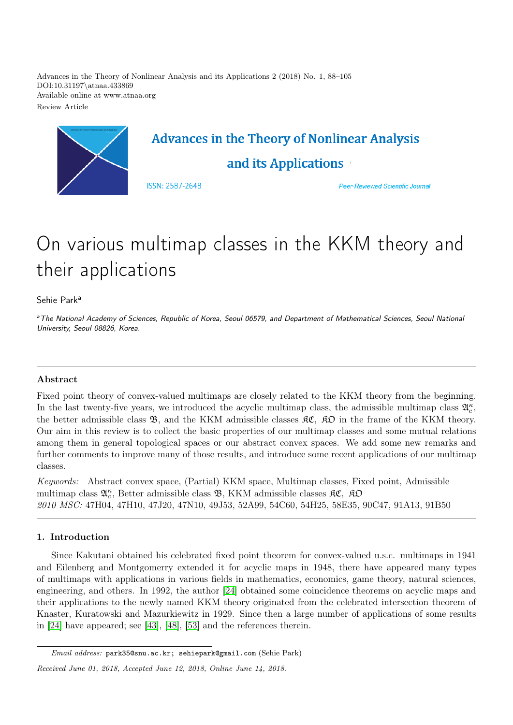Advances in the Theory of Nonlinear Analysis and its Applications 2 (2018) No. 1, 88–105 DOI:10.31197\atnaa.433869 Available online at www.atnaa.org Review Article



# On various multimap classes in the KKM theory and their applications

Sehie Park<sup>a</sup>

<sup>a</sup>The National Academy of Sciences, Republic of Korea, Seoul 06579, and Department of Mathematical Sciences, Seoul National University, Seoul 08826, Korea.

# Abstract

Fixed point theory of convex-valued multimaps are closely related to the KKM theory from the beginning. In the last twenty-five years, we introduced the acyclic multimap class, the admissible multimap class  $\mathfrak{A}_{c}^{\kappa}$ , the better admissible class  $\mathfrak{B}$ , and the KKM admissible classes  $\mathfrak{K}\mathfrak{C}$ ,  $\mathfrak{K}\mathfrak{D}$  in the frame of the KKM theory. Our aim in this review is to collect the basic properties of our multimap classes and some mutual relations among them in general topological spaces or our abstract convex spaces. We add some new remarks and further comments to improve many of those results, and introduce some recent applications of our multimap classes.

Keywords: Abstract convex space, (Partial) KKM space, Multimap classes, Fixed point, Admissible multimap class  $\mathfrak{A}^{\kappa}_{c}$ , Better admissible class  $\mathfrak{B},$  KKM admissible classes  $\mathfrak{K} \mathfrak{C}, \mathfrak{K} \mathfrak{O}$ 2010 MSC: 47H04, 47H10, 47J20, 47N10, 49J53, 52A99, 54C60, 54H25, 58E35, 90C47, 91A13, 91B50

# 1. Introduction

Since Kakutani obtained his celebrated fixed point theorem for convex-valued u.s.c. multimaps in 1941 and Eilenberg and Montgomerry extended it for acyclic maps in 1948, there have appeared many types of multimaps with applications in various fields in mathematics, economics, game theory, natural sciences, engineering, and others. In 1992, the author [\[24\]](#page-16-0) obtained some coincidence theorems on acyclic maps and their applications to the newly named KKM theory originated from the celebrated intersection theorem of Knaster, Kuratowski and Mazurkiewitz in 1929. Since then a large number of applications of some results in [\[24\]](#page-16-0) have appeared; see [\[43\]](#page-17-0), [\[48\]](#page-17-1), [\[53\]](#page-17-2) and the references therein.

Email address: park35@snu.ac.kr; sehiepark@gmail.com (Sehie Park)

Received June 01, 2018, Accepted June 12, 2018, Online June 14, 2018.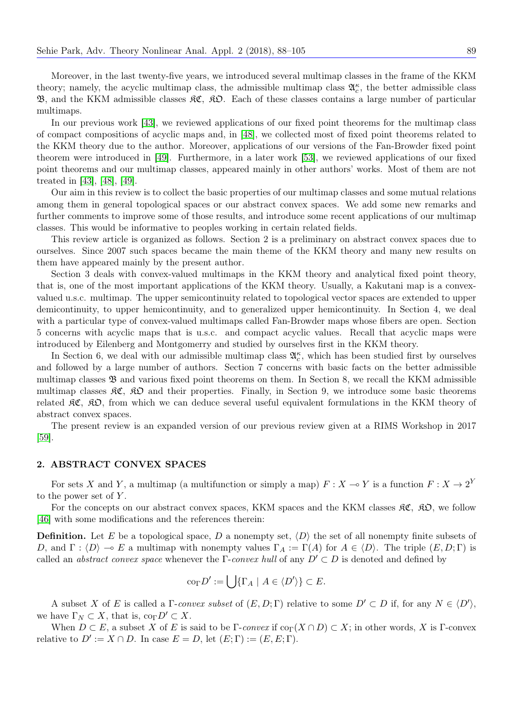Moreover, in the last twenty-five years, we introduced several multimap classes in the frame of the KKM theory; namely, the acyclic multimap class, the admissible multimap class  $\mathfrak{A}_{c}^{\kappa}$ , the better admissible class B, and the KKM admissible classes KC, KO. Each of these classes contains a large number of particular multimaps.

In our previous work [\[43\]](#page-17-0), we reviewed applications of our fixed point theorems for the multimap class of compact compositions of acyclic maps and, in [\[48\]](#page-17-1), we collected most of fixed point theorems related to the KKM theory due to the author. Moreover, applications of our versions of the Fan-Browder fixed point theorem were introduced in [\[49\]](#page-17-3). Furthermore, in a later work [\[53\]](#page-17-2), we reviewed applications of our fixed point theorems and our multimap classes, appeared mainly in other authors' works. Most of them are not treated in [\[43\]](#page-17-0), [\[48\]](#page-17-1), [\[49\]](#page-17-3).

Our aim in this review is to collect the basic properties of our multimap classes and some mutual relations among them in general topological spaces or our abstract convex spaces. We add some new remarks and further comments to improve some of those results, and introduce some recent applications of our multimap classes. This would be informative to peoples working in certain related fields.

This review article is organized as follows. Section 2 is a preliminary on abstract convex spaces due to ourselves. Since 2007 such spaces became the main theme of the KKM theory and many new results on them have appeared mainly by the present author.

Section 3 deals with convex-valued multimaps in the KKM theory and analytical fixed point theory, that is, one of the most important applications of the KKM theory. Usually, a Kakutani map is a convexvalued u.s.c. multimap. The upper semicontinuity related to topological vector spaces are extended to upper demicontinuity, to upper hemicontinuity, and to generalized upper hemicontinuity. In Section 4, we deal with a particular type of convex-valued multimaps called Fan-Browder maps whose fibers are open. Section 5 concerns with acyclic maps that is u.s.c. and compact acyclic values. Recall that acyclic maps were introduced by Eilenberg and Montgomerry and studied by ourselves first in the KKM theory.

In Section 6, we deal with our admissible multimap class  $\mathfrak{A}_{c}^{\kappa}$ , which has been studied first by ourselves and followed by a large number of authors. Section 7 concerns with basic facts on the better admissible multimap classes B and various fixed point theorems on them. In Section 8, we recall the KKM admissible multimap classes  $\mathcal{RC}, \mathcal{RD}$  and their properties. Finally, in Section 9, we introduce some basic theorems related  $\mathcal{RC}$ ,  $\mathcal{R}D$ , from which we can deduce several useful equivalent formulations in the KKM theory of abstract convex spaces.

The present review is an expanded version of our previous review given at a RIMS Workshop in 2017 [\[59\]](#page-17-4).

# 2. ABSTRACT CONVEX SPACES

For sets X and Y, a multimap (a multifunction or simply a map)  $F : X \to Y$  is a function  $F : X \to 2^Y$ to the power set of  $Y$ .

For the concepts on our abstract convex spaces, KKM spaces and the KKM classes  $\mathcal{RC}, \mathcal{RD},$  we follow [\[46\]](#page-17-5) with some modifications and the references therein:

**Definition.** Let E be a topological space, D a nonempty set,  $\langle D \rangle$  the set of all nonempty finite subsets of D, and  $\Gamma : \langle D \rangle \to E$  a multimap with nonempty values  $\Gamma_A := \Gamma(A)$  for  $A \in \langle D \rangle$ . The triple  $(E, D; \Gamma)$  is called an *abstract convex space* whenever the Γ-convex hull of any  $D' \subset D$  is denoted and defined by

$$
\mathrm{co}_{\Gamma}D':=\bigcup\{\Gamma_A\mid A\in\langle D'\rangle\}\subset E.
$$

A subset X of E is called a  $\Gamma$ -convex subset of  $(E, D; \Gamma)$  relative to some  $D' \subset D$  if, for any  $N \in \langle D' \rangle$ , we have  $\Gamma_N \subset X$ , that is,  $\text{co}_{\Gamma} D' \subset X$ .

When  $D \subset E$ , a subset X of E is said to be Γ-convex if  $\text{co}_{\Gamma}(X \cap D) \subset X$ ; in other words, X is Γ-convex relative to  $D' := X \cap D$ . In case  $E = D$ , let  $(E; \Gamma) := (E, E; \Gamma)$ .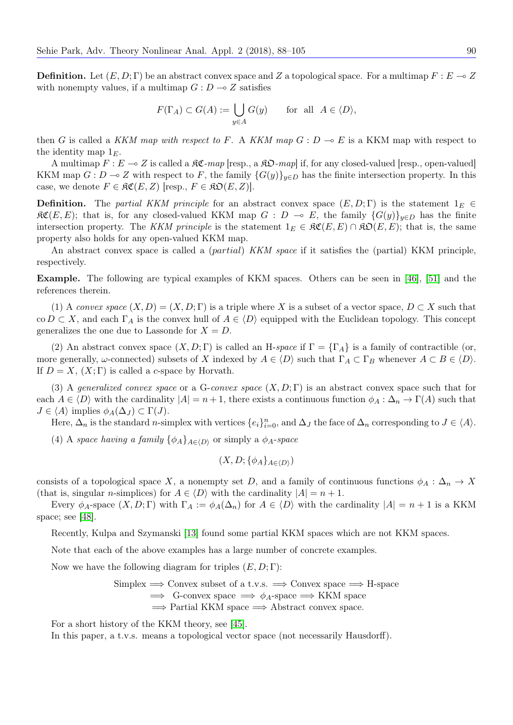**Definition.** Let  $(E, D; \Gamma)$  be an abstract convex space and Z a topological space. For a multimap  $F : E \to Z$ with nonempty values, if a multimap  $G : D \longrightarrow Z$  satisfies

$$
F(\Gamma_A) \subset G(A) := \bigcup_{y \in A} G(y) \quad \text{for all } A \in \langle D \rangle,
$$

then G is called a KKM map with respect to F. A KKM map  $G: D \to E$  is a KKM map with respect to the identity map  $1<sub>E</sub>$ .

A multimap  $F: E \to Z$  is called a  $\Re \mathfrak{C}$ -map [resp., a  $\Re \mathfrak{O}$ -map] if, for any closed-valued [resp., open-valued] KKM map  $G: D \to Z$  with respect to F, the family  ${G(y)}_{y\in D}$  has the finite intersection property. In this case, we denote  $F \in \mathfrak{RC}(E, Z)$  [resp.,  $F \in \mathfrak{RO}(E, Z)$ ].

**Definition.** The partial KKM principle for an abstract convex space  $(E, D; \Gamma)$  is the statement  $1_E \in$  $\mathcal{RC}(E, E)$ ; that is, for any closed-valued KKM map  $G : D \multimap E$ , the family  ${G(y)}_{y\in D}$  has the finite intersection property. The KKM principle is the statement  $1_E \in \mathfrak{RC}(E, E) \cap \mathfrak{RO}(E, E)$ ; that is, the same property also holds for any open-valued KKM map.

An abstract convex space is called a *(partial) KKM space* if it satisfies the *(partial) KKM principle*, respectively.

Example. The following are typical examples of KKM spaces. Others can be seen in [\[46\]](#page-17-5), [\[51\]](#page-17-6) and the references therein.

(1) A convex space  $(X, D) = (X, D; \Gamma)$  is a triple where X is a subset of a vector space,  $D \subset X$  such that co  $D \subset X$ , and each  $\Gamma_A$  is the convex hull of  $A \in \langle D \rangle$  equipped with the Euclidean topology. This concept generalizes the one due to Lassonde for  $X = D$ .

(2) An abstract convex space  $(X, D; \Gamma)$  is called an H-space if  $\Gamma = {\Gamma_A}$  is a family of contractible (or, more generally,  $\omega$ -connected) subsets of X indexed by  $A \in \langle D \rangle$  such that  $\Gamma_A \subset \Gamma_B$  whenever  $A \subset B \in \langle D \rangle$ . If  $D = X$ ,  $(X; \Gamma)$  is called a c-space by Horvath.

(3) A generalized convex space or a G-convex space  $(X, D; \Gamma)$  is an abstract convex space such that for each  $A \in \langle D \rangle$  with the cardinality  $|A| = n + 1$ , there exists a continuous function  $\phi_A : \Delta_n \to \Gamma(A)$  such that  $J \in \langle A \rangle$  implies  $\phi_A(\Delta_J) \subset \Gamma(J)$ .

Here,  $\Delta_n$  is the standard n-simplex with vertices  $\{e_i\}_{i=0}^n$ , and  $\Delta_j$  the face of  $\Delta_n$  corresponding to  $J \in \langle A \rangle$ .

(4) A space having a family  $\{\phi_A\}_{A\in\langle D\rangle}$  or simply a  $\phi_A$ -space

$$
(X, D; \{\phi_A\}_{A \in \langle D \rangle})
$$

consists of a topological space X, a nonempty set D, and a family of continuous functions  $\phi_A : \Delta_n \to X$ (that is, singular *n*-simplices) for  $A \in \langle D \rangle$  with the cardinality  $|A| = n + 1$ .

Every  $\phi_A$ -space  $(X, D; \Gamma)$  with  $\Gamma_A := \phi_A(\Delta_n)$  for  $A \in \langle D \rangle$  with the cardinality  $|A| = n + 1$  is a KKM space; see [\[48\]](#page-17-1).

Recently, Kulpa and Szymanski [\[13\]](#page-16-1) found some partial KKM spaces which are not KKM spaces.

Note that each of the above examples has a large number of concrete examples.

Now we have the following diagram for triples  $(E, D; \Gamma)$ :

 $Simplex \Longrightarrow$  Convex subset of a t.v.s.  $\Longrightarrow$  Convex space  $\Longrightarrow$  H-space  $\implies$  G-convex space  $\implies \phi_A$ -space  $\implies$  KKM space  $\Rightarrow$  Partial KKM space  $\Rightarrow$  Abstract convex space.

For a short history of the KKM theory, see [\[45\]](#page-17-7).

In this paper, a t.v.s. means a topological vector space (not necessarily Hausdorff).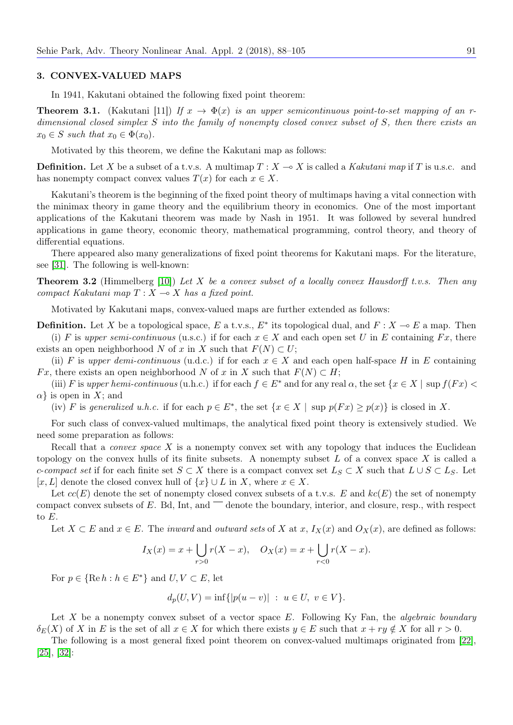#### 3. CONVEX-VALUED MAPS

In 1941, Kakutani obtained the following fixed point theorem:

**Theorem 3.1.** (Kakutani [11]) If  $x \to \Phi(x)$  is an upper semicontinuous point-to-set mapping of an rdimensional closed simplex S into the family of nonempty closed convex subset of S, then there exists an  $x_0 \in S$  such that  $x_0 \in \Phi(x_0)$ .

Motivated by this theorem, we define the Kakutani map as follows:

**Definition.** Let X be a subset of a t.v.s. A multimap  $T : X \to X$  is called a Kakutani map if T is u.s.c. and has nonempty compact convex values  $T(x)$  for each  $x \in X$ .

Kakutani's theorem is the beginning of the fixed point theory of multimaps having a vital connection with the minimax theory in game theory and the equilibrium theory in economics. One of the most important applications of the Kakutani theorem was made by Nash in 1951. It was followed by several hundred applications in game theory, economic theory, mathematical programming, control theory, and theory of differential equations.

There appeared also many generalizations of fixed point theorems for Kakutani maps. For the literature, see [\[31\]](#page-16-2). The following is well-known:

**Theorem 3.2** (Himmelberg [\[10\]](#page-16-3)) Let X be a convex subset of a locally convex Hausdorff t.v.s. Then any compact Kakutani map  $T : X \longrightarrow X$  has a fixed point.

Motivated by Kakutani maps, convex-valued maps are further extended as follows:

**Definition.** Let X be a topological space, E a t.v.s.,  $E^*$  its topological dual, and  $F: X \to E$  a map. Then (i) F is upper semi-continuous (u.s.c.) if for each  $x \in X$  and each open set U in E containing Fx, there exists an open neighborhood N of x in X such that  $F(N) \subset U$ ;

(ii) F is upper demi-continuous (u.d.c.) if for each  $x \in X$  and each open half-space H in E containing Fx, there exists an open neighborhood N of x in X such that  $F(N) \subset H$ ;

(iii) F is upper hemi-continuous (u.h.c.) if for each  $f \in E^*$  and for any real  $\alpha$ , the set  $\{x \in X \mid \text{sup } f(Fx)$  $\alpha$  is open in X; and

(iv) F is generalized u.h.c. if for each  $p \in E^*$ , the set  $\{x \in X \mid \text{sup } p(Fx) \geq p(x)\}$  is closed in X.

For such class of convex-valued multimaps, the analytical fixed point theory is extensively studied. We need some preparation as follows:

Recall that a *convex space*  $X$  is a nonempty convex set with any topology that induces the Euclidean topology on the convex hulls of its finite subsets. A nonempty subset  $L$  of a convex space  $X$  is called a c-compact set if for each finite set  $S \subset X$  there is a compact convex set  $L_S \subset X$  such that  $L \cup S \subset L_S$ . Let [x, L] denote the closed convex hull of  $\{x\} \cup L$  in X, where  $x \in X$ .

Let  $cc(E)$  denote the set of nonempty closed convex subsets of a t.v.s. E and  $kc(E)$  the set of nonempty compact convex subsets of  $E$ . Bd, Int, and  $\overline{\phantom{a}}$  denote the boundary, interior, and closure, resp., with respect to E.

Let  $X \subset E$  and  $x \in E$ . The *inward* and *outward sets* of X at  $x$ ,  $I_X(x)$  and  $O_X(x)$ , are defined as follows:

$$
I_X(x) = x + \bigcup_{r>0} r(X - x), \quad O_X(x) = x + \bigcup_{r<0} r(X - x).
$$

For  $p \in \{ \text{Re } h : h \in E^* \}$  and  $U, V \subset E$ , let

 $d_p(U, V) = \inf\{|p(u - v)| : u \in U, v \in V\}.$ 

Let X be a nonempty convex subset of a vector space  $E$ . Following Ky Fan, the *algebraic boundary*  $\delta_E(X)$  of X in E is the set of all  $x \in X$  for which there exists  $y \in E$  such that  $x + ry \notin X$  for all  $r > 0$ .

The following is a most general fixed point theorem on convex-valued multimaps originated from [\[22\]](#page-16-4), [\[25\]](#page-16-5), [\[32\]](#page-16-6):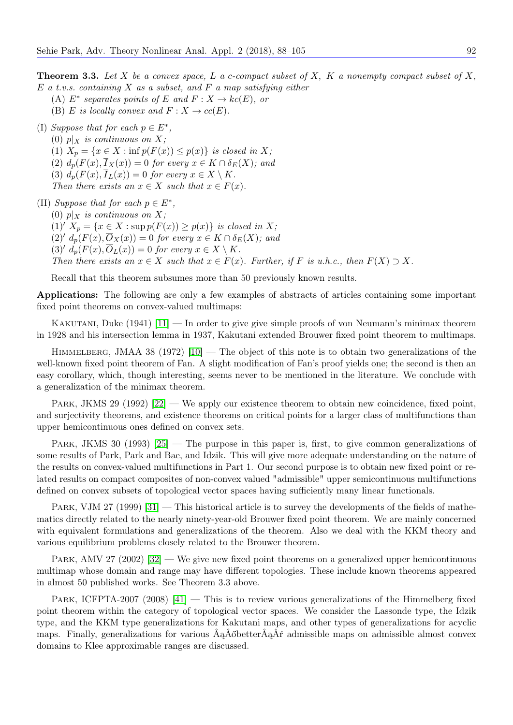**Theorem 3.3.** Let X be a convex space, L a c-compact subset of X, K a nonempty compact subset of X,  $E$  a t.v.s. containing  $X$  as a subset, and  $F$  a map satisfying either

- (A)  $E^*$  separates points of E and  $F: X \to kc(E)$ , or
- (B) E is locally convex and  $F: X \to cc(E)$ .

(I) Suppose that for each  $p \in E^*$ ,

(0)  $p|_X$  is continuous on X; (1)  $X_p = \{x \in X : \inf p(F(x)) \leq p(x)\}\$ is closed in X; (2)  $d_p(F(x), \overline{I}_X(x)) = 0$  for every  $x \in K \cap \delta_E(X)$ ; and (3)  $d_p(F(x), \overline{I}_L(x)) = 0$  for every  $x \in X \setminus K$ . Then there exists an  $x \in X$  such that  $x \in F(x)$ .

(II) Suppose that for each  $p \in E^*$ , (0)  $p|_X$  is continuous on X; (1)'  $X_p = \{x \in X : \sup p(F(x)) \geq p(x)\}\$ is closed in X;  $(2)' d_p(F(x), \overline{O}_X(x)) = 0$  for every  $x \in K \cap \delta_E(X)$ ; and  $(3)' d_n(F(x), \overline{O}_L(x)) = 0$  for every  $x \in X \setminus K$ . Then there exists an  $x \in X$  such that  $x \in F(x)$ . Further, if F is u.h.c., then  $F(X) \supset X$ .

Recall that this theorem subsumes more than 50 previously known results.

Applications: The following are only a few examples of abstracts of articles containing some important fixed point theorems on convex-valued multimaps:

KAKUTANI, Duke  $(1941)$   $[11]$  — In order to give give simple proofs of von Neumann's minimax theorem in 1928 and his intersection lemma in 1937, Kakutani extended Brouwer fixed point theorem to multimaps.

HIMMELBERG, JMAA 38 (1972)  $[10]$  — The object of this note is to obtain two generalizations of the well-known fixed point theorem of Fan. A slight modification of Fan's proof yields one; the second is then an easy corollary, which, though interesting, seems never to be mentioned in the literature. We conclude with a generalization of the minimax theorem.

PARK, JKMS 29 (1992) [\[22\]](#page-16-4) — We apply our existence theorem to obtain new coincidence, fixed point, and surjectivity theorems, and existence theorems on critical points for a larger class of multifunctions than upper hemicontinuous ones defined on convex sets.

PARK, JKMS 30 (1993) [\[25\]](#page-16-5) — The purpose in this paper is, first, to give common generalizations of some results of Park, Park and Bae, and Idzik. This will give more adequate understanding on the nature of the results on convex-valued multifunctions in Part 1. Our second purpose is to obtain new fixed point or related results on compact composites of non-convex valued "admissible" upper semicontinuous multifunctions defined on convex subsets of topological vector spaces having sufficiently many linear functionals.

PARK, VJM 27 (1999)  $|31|$  — This historical article is to survey the developments of the fields of mathematics directly related to the nearly ninety-year-old Brouwer fixed point theorem. We are mainly concerned with equivalent formulations and generalizations of the theorem. Also we deal with the KKM theory and various equilibrium problems closely related to the Brouwer theorem.

PARK, AMV 27 (2002) [\[32\]](#page-16-6) — We give new fixed point theorems on a generalized upper hemicontinuous multimap whose domain and range may have different topologies. These include known theorems appeared in almost 50 published works. See Theorem 3.3 above.

PARK, ICFPTA-2007 (2008) [\[41\]](#page-17-8) — This is to review various generalizations of the Himmelberg fixed point theorem within the category of topological vector spaces. We consider the Lassonde type, the Idzik type, and the KKM type generalizations for Kakutani maps, and other types of generalizations for acyclic maps. Finally, generalizations for various ÂąÂőbetterÂąÂŕ admissible maps on admissible almost convex domains to Klee approximable ranges are discussed.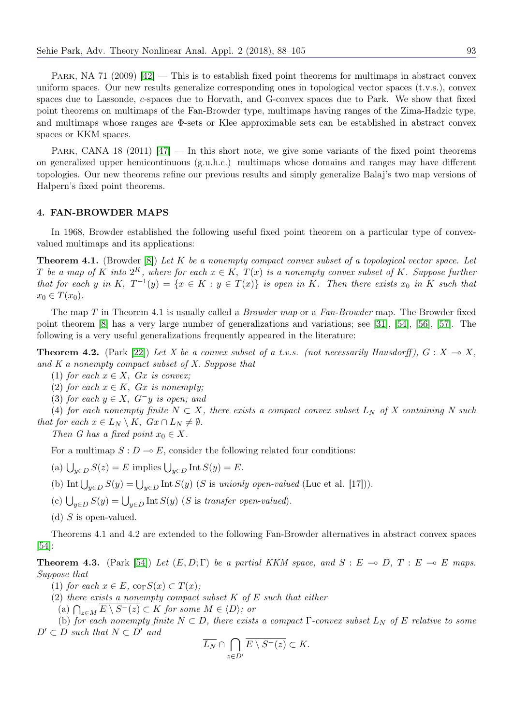PARK, NA 71 (2009)  $[42]$  — This is to establish fixed point theorems for multimaps in abstract convex uniform spaces. Our new results generalize corresponding ones in topological vector spaces (t.v.s.), convex spaces due to Lassonde, c-spaces due to Horvath, and G-convex spaces due to Park. We show that fixed point theorems on multimaps of the Fan-Browder type, multimaps having ranges of the Zima-Hadzic type, and multimaps whose ranges are Φ-sets or Klee approximable sets can be established in abstract convex spaces or KKM spaces.

PARK, CANA 18 (2011)  $\left[47\right]$  — In this short note, we give some variants of the fixed point theorems on generalized upper hemicontinuous (g.u.h.c.) multimaps whose domains and ranges may have different topologies. Our new theorems refine our previous results and simply generalize Balaj's two map versions of Halpern's fixed point theorems.

#### 4. FAN-BROWDER MAPS

In 1968, Browder established the following useful fixed point theorem on a particular type of convexvalued multimaps and its applications:

**Theorem 4.1.** (Browder [\[8\]](#page-16-8)) Let K be a nonempty compact convex subset of a topological vector space. Let T be a map of K into  $2^K$ , where for each  $x \in K$ ,  $T(x)$  is a nonempty convex subset of K. Suppose further that for each y in K,  $T^{-1}(y) = \{x \in K : y \in T(x)\}\$ is open in K. Then there exists  $x_0$  in K such that  $x_0 \in T(x_0)$ .

The map T in Theorem 4.1 is usually called a *Browder map* or a  $Fan-Browder$  map. The Browder fixed point theorem [\[8\]](#page-16-8) has a very large number of generalizations and variations; see [\[31\]](#page-16-2), [\[54\]](#page-17-11), [\[56\]](#page-17-12), [\[57\]](#page-17-13). The following is a very useful generalizations frequently appeared in the literature:

**Theorem 4.2.** (Park [\[22\]](#page-16-4)) Let X be a convex subset of a t.v.s. (not necessarily Hausdorff),  $G: X \to X$ , and K a nonempty compact subset of X. Suppose that

- (1) for each  $x \in X$ ,  $Gx$  is convex;
- (2) for each  $x \in K$ ,  $Gx$  is nonempty;
- (3) for each  $y \in X$ ,  $G^-y$  is open; and

(4) for each nonempty finite  $N \subset X$ , there exists a compact convex subset  $L_N$  of X containing N such that for each  $x \in L_N \setminus K$ ,  $Gx \cap L_N \neq \emptyset$ .

Then G has a fixed point  $x_0 \in X$ .

For a multimap  $S: D \to E$ , consider the following related four conditions:

- (a)  $\bigcup_{y \in D} S(z) = E$  implies  $\bigcup_{y \in D} \text{Int } S(y) = E$ .
- (b) Int  $\bigcup_{y\in D} S(y) = \bigcup_{y\in D} \text{Int } S(y)$  (S is unionly open-valued (Luc et al. [17])).
- (c)  $\bigcup_{y \in D} S(y) = \bigcup_{y \in D} \text{Int } S(y)$  (S is transfer open-valued).
- (d)  $S$  is open-valued.

Theorems 4.1 and 4.2 are extended to the following Fan-Browder alternatives in abstract convex spaces [\[54\]](#page-17-11):

**Theorem 4.3.** (Park [\[54\]](#page-17-11)) Let  $(E, D; \Gamma)$  be a partial KKM space, and  $S : E \multimap D, T : E \multimap E$  maps. Suppose that

- (1) for each  $x \in E$ , co<sub>Γ</sub> $S(x) \subset T(x)$ ;
- (2) there exists a nonempty compact subset  $K$  of  $E$  such that either
	- (a)  $\bigcap_{z \in M} E \setminus S^-(z) \subset K$  for some  $M \in \langle D \rangle$ ; or

(b) for each nonempty finite  $N \subset D$ , there exists a compact  $\Gamma$ -convex subset  $L_N$  of E relative to some  $D' \subset D$  such that  $N \subset D'$  and

$$
\overline{L_N} \cap \bigcap_{z \in D'} \overline{E \setminus S^-(z)} \subset K.
$$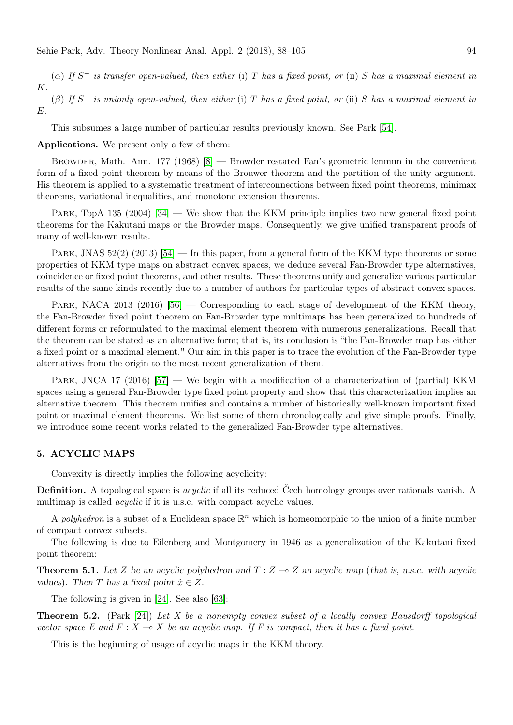( $\alpha$ ) If S<sup>-</sup> is transfer open-valued, then either (i) T has a fixed point, or (ii) S has a maximal element in K.

 $(\beta)$  If S<sup>-</sup> is unionly open-valued, then either (i) T has a fixed point, or (ii) S has a maximal element in E.

This subsumes a large number of particular results previously known. See Park [\[54\]](#page-17-11).

Applications. We present only a few of them:

Browder, Math. Ann. 177 (1968) [\[8\]](#page-16-8) — Browder restated Fan's geometric lemmm in the convenient form of a fixed point theorem by means of the Brouwer theorem and the partition of the unity argument. His theorem is applied to a systematic treatment of interconnections between fixed point theorems, minimax theorems, variational inequalities, and monotone extension theorems.

PARK, TopA 135 (2004)  $[34]$  — We show that the KKM principle implies two new general fixed point theorems for the Kakutani maps or the Browder maps. Consequently, we give unified transparent proofs of many of well-known results.

PARK, JNAS  $52(2)$  (2013) [\[54\]](#page-17-11) — In this paper, from a general form of the KKM type theorems or some properties of KKM type maps on abstract convex spaces, we deduce several Fan-Browder type alternatives, coincidence or fixed point theorems, and other results. These theorems unify and generalize various particular results of the same kinds recently due to a number of authors for particular types of abstract convex spaces.

PARK, NACA 2013 (2016)  $[56]$  — Corresponding to each stage of development of the KKM theory, the Fan-Browder fixed point theorem on Fan-Browder type multimaps has been generalized to hundreds of different forms or reformulated to the maximal element theorem with numerous generalizations. Recall that the theorem can be stated as an alternative form; that is, its conclusion is "the Fan-Browder map has either a fixed point or a maximal element." Our aim in this paper is to trace the evolution of the Fan-Browder type alternatives from the origin to the most recent generalization of them.

PARK, JNCA 17 (2016) [\[57\]](#page-17-13) — We begin with a modification of a characterization of (partial) KKM spaces using a general Fan-Browder type fixed point property and show that this characterization implies an alternative theorem. This theorem unifies and contains a number of historically well-known important fixed point or maximal element theorems. We list some of them chronologically and give simple proofs. Finally, we introduce some recent works related to the generalized Fan-Browder type alternatives.

#### 5. ACYCLIC MAPS

Convexity is directly implies the following acyclicity:

**Definition.** A topological space is *acyclic* if all its reduced Čech homology groups over rationals vanish. A multimap is called *acyclic* if it is u.s.c. with compact acyclic values.

A polyhedron is a subset of a Euclidean space  $\mathbb{R}^n$  which is homeomorphic to the union of a finite number of compact convex subsets.

The following is due to Eilenberg and Montgomery in 1946 as a generalization of the Kakutani fixed point theorem:

**Theorem 5.1.** Let Z be an acyclic polyhedron and  $T : Z \to Z$  an acyclic map (that is, u.s.c. with acyclic values). Then T has a fixed point  $\hat{x} \in Z$ .

The following is given in [\[24\]](#page-16-0). See also [\[63\]](#page-17-14):

**Theorem 5.2.** (Park [\[24\]](#page-16-0)) Let X be a nonempty convex subset of a locally convex Hausdorff topological vector space E and  $F: X \to X$  be an acyclic map. If F is compact, then it has a fixed point.

This is the beginning of usage of acyclic maps in the KKM theory.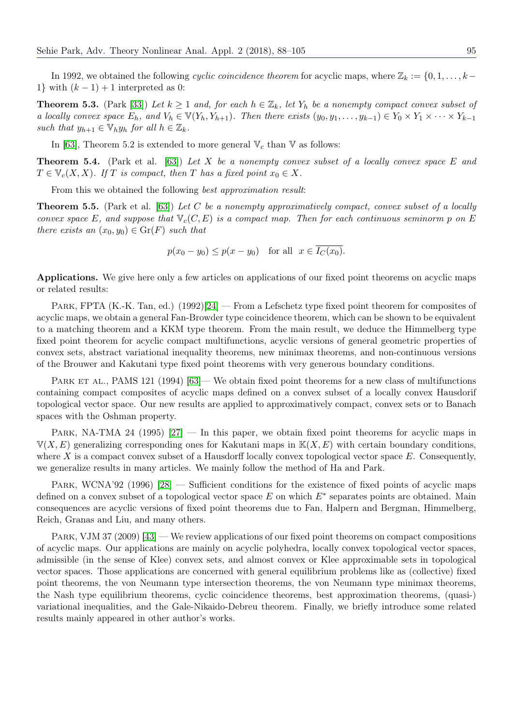In 1992, we obtained the following cyclic coincidence theorem for acyclic maps, where  $\mathbb{Z}_k := \{0, 1, \ldots, k-\}$ 1} with  $(k-1) + 1$  interpreted as 0:

**Theorem 5.3.** (Park [\[33\]](#page-16-10)) Let  $k \ge 1$  and, for each  $h \in \mathbb{Z}_k$ , let  $Y_h$  be a nonempty compact convex subset of a locally convex space  $E_h$ , and  $V_h \in V(Y_h, Y_{h+1})$ . Then there exists  $(y_0, y_1, \ldots, y_{k-1}) \in Y_0 \times Y_1 \times \cdots \times Y_{k-1}$ such that  $y_{h+1} \in \mathbb{V}_h y_h$  for all  $h \in \mathbb{Z}_k$ .

In [\[63\]](#page-17-14), Theorem 5.2 is extended to more general  $\mathbb{V}_c$  than  $\mathbb{V}$  as follows:

**Theorem 5.4.** (Park et al. [\[63\]](#page-17-14)) Let X be a nonempty convex subset of a locally convex space E and  $T \in V_c(X, X)$ . If T is compact, then T has a fixed point  $x_0 \in X$ .

From this we obtained the following *best approximation result:* 

**Theorem 5.5.** (Park et al. [\[63\]](#page-17-14)) Let C be a nonempty approximatively compact, convex subset of a locally convex space E, and suppose that  $\mathbb{V}_c(C, E)$  is a compact map. Then for each continuous seminorm p on E there exists an  $(x_0, y_0) \in \text{Gr}(F)$  such that

 $p(x_0 - y_0) \leq p(x - y_0)$  for all  $x \in \overline{I_C(x_0)}$ .

Applications. We give here only a few articles on applications of our fixed point theorems on acyclic maps or related results:

PARK, FPTA (K.-K. Tan, ed.) (1992)[\[24\]](#page-16-0) — From a Lefschetz type fixed point theorem for composites of acyclic maps, we obtain a general Fan-Browder type coincidence theorem, which can be shown to be equivalent to a matching theorem and a KKM type theorem. From the main result, we deduce the Himmelberg type fixed point theorem for acyclic compact multifunctions, acyclic versions of general geometric properties of convex sets, abstract variational inequality theorems, new minimax theorems, and non-continuous versions of the Brouwer and Kakutani type fixed point theorems with very generous boundary conditions.

PARK ET AL., PAMS 121 (1994) [\[63\]](#page-17-14)— We obtain fixed point theorems for a new class of multifunctions containing compact composites of acyclic maps defined on a convex subset of a locally convex Hausdorif topological vector space. Our new results are applied to approximatively compact, convex sets or to Banach spaces with the Oshman property.

PARK, NA-TMA 24 (1995) [\[27\]](#page-16-11) — In this paper, we obtain fixed point theorems for acyclic maps in  $\mathbb{V}(X, E)$  generalizing corresponding ones for Kakutani maps in  $\mathbb{K}(X, E)$  with certain boundary conditions, where X is a compact convex subset of a Hausdorff locally convex topological vector space  $E$ . Consequently, we generalize results in many articles. We mainly follow the method of Ha and Park.

PARK, WCNA'92 (1996) [\[28\]](#page-16-12) — Sufficient conditions for the existence of fixed points of acyclic maps defined on a convex subset of a topological vector space  $E$  on which  $E^*$  separates points are obtained. Main consequences are acyclic versions of fixed point theorems due to Fan, Halpern and Bergman, Himmelberg, Reich, Granas and Liu, and many others.

PARK, VJM 37 (2009) [\[43\]](#page-17-0) — We review applications of our fixed point theorems on compact compositions of acyclic maps. Our applications are mainly on acyclic polyhedra, locally convex topological vector spaces, admissible (in the sense of Klee) convex sets, and almost convex or Klee approximable sets in topological vector spaces. Those applications are concerned with general equilibrium problems like as (collective) fixed point theorems, the von Neumann type intersection theorems, the von Neumann type minimax theorems, the Nash type equilibrium theorems, cyclic coincidence theorems, best approximation theorems, (quasi-) variational inequalities, and the Gale-Nikaido-Debreu theorem. Finally, we briefly introduce some related results mainly appeared in other author's works.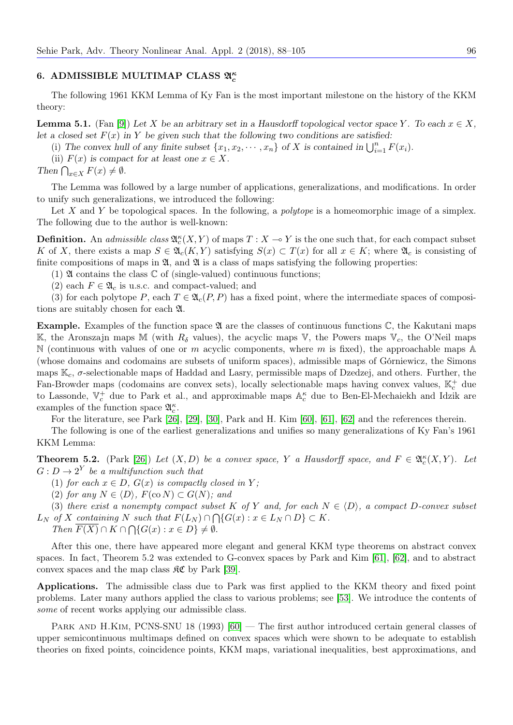# 6. ADMISSIBLE MULTIMAP CLASS  $\mathfrak{A}_c^{\kappa}$

The following 1961 KKM Lemma of Ky Fan is the most important milestone on the history of the KKM theory:

**Lemma 5.1.** (Fan [\[9\]](#page-16-13)) Let X be an arbitrary set in a Hausdorff topological vector space Y. To each  $x \in X$ , let a closed set  $F(x)$  in Y be given such that the following two conditions are satisfied:

(i) The convex hull of any finite subset  $\{x_1, x_2, \dots, x_n\}$  of X is contained in  $\bigcup_{i=1}^n F(x_i)$ .

(ii)  $F(x)$  is compact for at least one  $x \in X$ .

Then  $\bigcap_{x\in X} F(x) \neq \emptyset$ .

The Lemma was followed by a large number of applications, generalizations, and modifications. In order to unify such generalizations, we introduced the following:

Let  $X$  and  $Y$  be topological spaces. In the following, a *polytope* is a homeomorphic image of a simplex. The following due to the author is well-known:

**Definition.** An *admissible class*  $\mathfrak{A}_{c}^{\kappa}(X, Y)$  of maps  $T : X \to Y$  is the one such that, for each compact subset K of X, there exists a map  $S \in \mathfrak{A}_{c}(K,Y)$  satisfying  $S(x) \subset T(x)$  for all  $x \in K$ ; where  $\mathfrak{A}_{c}$  is consisting of finite compositions of maps in  $\mathfrak{A}$ , and  $\mathfrak{A}$  is a class of maps satisfying the following properties:

(1)  $\mathfrak A$  contains the class  $\mathbb C$  of (single-valued) continuous functions;

(2) each  $F \in \mathfrak{A}_c$  is u.s.c. and compact-valued; and

(3) for each polytope P, each  $T \in \mathfrak{A}_c(P, P)$  has a fixed point, where the intermediate spaces of compositions are suitably chosen for each A.

**Example.** Examples of the function space  $\mathfrak A$  are the classes of continuous functions  $\mathbb C$ , the Kakutani maps K, the Aronszajn maps M (with  $R_{\delta}$  values), the acyclic maps V, the Powers maps V<sub>c</sub>, the O'Neil maps N (continuous with values of one or m acyclic components, where m is fixed), the approachable maps  $\mathbb A$ (whose domains and codomains are subsets of uniform spaces), admissible maps of Górniewicz, the Simons maps  $\mathbb{K}_c$ ,  $\sigma$ -selectionable maps of Haddad and Lasry, permissible maps of Dzedzej, and others. Further, the Fan-Browder maps (codomains are convex sets), locally selectionable maps having convex values,  $\mathbb{K}_c^+$  due to Lassonde,  $\mathbb{V}_c^+$  due to Park et al., and approximable maps  $\mathbb{A}_c^{\kappa}$  due to Ben-El-Mechaiekh and Idzik are examples of the function space  $\mathfrak{A}^\kappa_c.$ 

For the literature, see Park [\[26\]](#page-16-14), [\[29\]](#page-16-15), [\[30\]](#page-16-16), Park and H. Kim [\[60\]](#page-17-15), [\[61\]](#page-17-16), [\[62\]](#page-17-17) and the references therein.

The following is one of the earliest generalizations and unifies so many generalizations of Ky Fan's 1961 KKM Lemma:

**Theorem 5.2.** (Park [\[26\]](#page-16-14)) Let  $(X, D)$  be a convex space, Y a Hausdorff space, and  $F \in \mathfrak{A}_{c}^{\kappa}(X, Y)$ . Let  $G: D \to 2^Y$  be a multifunction such that

(1) for each  $x \in D$ ,  $G(x)$  is compactly closed in Y;

(2) for any  $N \in \langle D \rangle$ ,  $F(\text{co } N) \subset G(N)$ ; and

(3) there exist a nonempty compact subset K of Y and, for each  $N \in \langle D \rangle$ , a compact D-convex subset  $L_N$  of X containing N such that  $F(L_N) \cap \bigcap \{G(x) : x \in L_N \cap D\} \subset K$ .

Then  $F(X) \cap K \cap \bigcap \{G(x) : x \in D\} \neq \emptyset$ .

After this one, there have appeared more elegant and general KKM type theorems on abstract convex spaces. In fact, Theorem 5.2 was extended to G-convex spaces by Park and Kim [\[61\]](#page-17-16), [\[62\]](#page-17-17), and to abstract convex spaces and the map class  $\mathcal{RC}$  by Park [\[39\]](#page-16-17).

Applications. The admissible class due to Park was first applied to the KKM theory and fixed point problems. Later many authors applied the class to various problems; see [\[53\]](#page-17-2). We introduce the contents of some of recent works applying our admissible class.

PARK AND H.KIM, PCNS-SNU 18 (1993) [\[60\]](#page-17-15) — The first author introduced certain general classes of upper semicontinuous multimaps defined on convex spaces which were shown to be adequate to establish theories on fixed points, coincidence points, KKM maps, variational inequalities, best approximations, and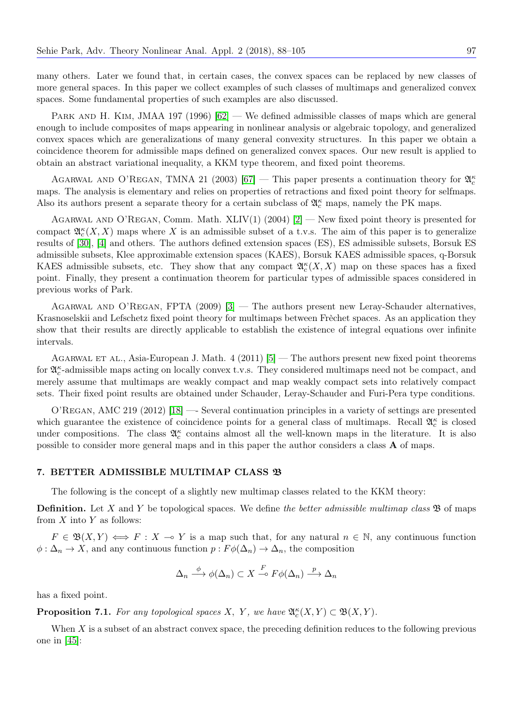many others. Later we found that, in certain cases, the convex spaces can be replaced by new classes of more general spaces. In this paper we collect examples of such classes of multimaps and generalized convex spaces. Some fundamental properties of such examples are also discussed.

PARK AND H. KIM, JMAA 197 (1996)  $|62|$  — We defined admissible classes of maps which are general enough to include composites of maps appearing in nonlinear analysis or algebraic topology, and generalized convex spaces which are generalizations of many general convexity structures. In this paper we obtain a coincidence theorem for admissible maps defined on generalized convex spaces. Our new result is applied to obtain an abstract variational inequality, a KKM type theorem, and fixed point theorems.

AGARWAL AND O'REGAN, TMNA 21 (2003) [\[67\]](#page-16-18) – This paper presents a continuation theory for  $\mathfrak{A}_{c}^{\kappa}$ maps. The analysis is elementary and relies on properties of retractions and fixed point theory for selfmaps. Also its authors present a separate theory for a certain subclass of  $\mathfrak{A}_c^{\kappa}$  maps, namely the PK maps.

AGARWAL AND O'REGAN, Comm. Math.  $XLIV(1)$  (2004)  $|2|$  — New fixed point theory is presented for compact  $\mathfrak{A}_{c}^{\kappa}(X,X)$  maps where X is an admissible subset of a t.v.s. The aim of this paper is to generalize results of [\[30\]](#page-16-16), [\[4\]](#page-16-20) and others. The authors defined extension spaces (ES), ES admissible subsets, Borsuk ES admissible subsets, Klee approximable extension spaces (KAES), Borsuk KAES admissible spaces, q-Borsuk KAES admissible subsets, etc. They show that any compact  $\mathfrak{A}_{c}^{\kappa}(X,X)$  map on these spaces has a fixed point. Finally, they present a continuation theorem for particular types of admissible spaces considered in previous works of Park.

Agarwal and O'Regan, FPTA (2009) [\[3\]](#page-16-21) — The authors present new Leray-Schauder alternatives, Krasnoselskii and Lefschetz fixed point theory for multimaps between Frèchet spaces. As an application they show that their results are directly applicable to establish the existence of integral equations over infinite intervals.

AGARWAL ET AL., Asia-European J. Math.  $4$  (2011) [\[5\]](#page-16-22) — The authors present new fixed point theorems for  $\mathfrak{A}_c^{\kappa}$ -admissible maps acting on locally convex t.v.s. They considered multimaps need not be compact, and merely assume that multimaps are weakly compact and map weakly compact sets into relatively compact sets. Their fixed point results are obtained under Schauder, Leray-Schauder and Furi-Pera type conditions.

O'Regan, AMC 219 (2012) [\[18\]](#page-16-23) —- Several continuation principles in a variety of settings are presented which guarantee the existence of coincidence points for a general class of multimaps. Recall  $\mathfrak{A}_{c}^{\kappa}$  is closed under compositions. The class  $\mathfrak{A}_{c}^{\kappa}$  contains almost all the well-known maps in the literature. It is also possible to consider more general maps and in this paper the author considers a class A of maps.

# 7. BETTER ADMISSIBLE MULTIMAP CLASS B

The following is the concept of a slightly new multimap classes related to the KKM theory:

**Definition.** Let X and Y be topological spaces. We define the better admissible multimap class  $\mathfrak{B}$  of maps from  $X$  into  $Y$  as follows:

 $F \in \mathfrak{B}(X,Y) \iff F : X \to Y$  is a map such that, for any natural  $n \in \mathbb{N}$ , any continuous function  $\phi : \Delta_n \to X$ , and any continuous function  $p : F\phi(\Delta_n) \to \Delta_n$ , the composition

$$
\Delta_n \stackrel{\phi}{\longrightarrow} \phi(\Delta_n) \subset X \stackrel{F}{\longrightarrow} F\phi(\Delta_n) \stackrel{p}{\longrightarrow} \Delta_n
$$

has a fixed point.

**Proposition 7.1.** For any topological spaces X, Y, we have  $\mathfrak{A}_{c}^{\kappa}(X, Y) \subset \mathfrak{B}(X, Y)$ .

When  $X$  is a subset of an abstract convex space, the preceding definition reduces to the following previous one in [\[45\]](#page-17-7):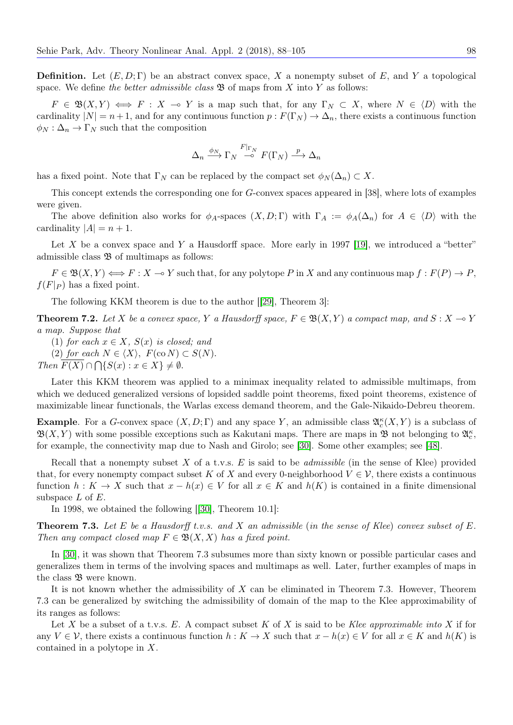**Definition.** Let  $(E, D; \Gamma)$  be an abstract convex space, X a nonempty subset of E, and Y a topological space. We define the better admissible class  $\mathfrak{B}$  of maps from X into Y as follows:

 $F \in \mathfrak{B}(X,Y) \iff F : X \multimap Y$  is a map such that, for any  $\Gamma_N \subset X$ , where  $N \in \langle D \rangle$  with the cardinality  $|N| = n+1$ , and for any continuous function  $p : F(\Gamma_N) \to \Delta_n$ , there exists a continuous function  $\phi_N : \Delta_n \to \Gamma_N$  such that the composition

$$
\Delta_n \xrightarrow{\phi_N} \Gamma_N \xrightarrow{F|_{\Gamma_N}} F(\Gamma_N) \xrightarrow{p} \Delta_n
$$

has a fixed point. Note that  $\Gamma_N$  can be replaced by the compact set  $\phi_N(\Delta_n) \subset X$ .

This concept extends the corresponding one for G-convex spaces appeared in [38], where lots of examples were given.

The above definition also works for  $\phi_A$ -spaces  $(X, D; \Gamma)$  with  $\Gamma_A := \phi_A(\Delta_n)$  for  $A \in \langle D \rangle$  with the cardinality  $|A| = n + 1$ .

Let X be a convex space and Y a Hausdorff space. More early in 1997 [\[19\]](#page-16-24), we introduced a "better" admissible class  $\mathfrak{B}$  of multimaps as follows:

 $F \in \mathfrak{B}(X, Y) \Longleftrightarrow F : X \multimap Y$  such that, for any polytope P in X and any continuous map  $f : F(P) \to P$ ,  $f(F|_P)$  has a fixed point.

The following KKM theorem is due to the author [[\[29\]](#page-16-15), Theorem 3]:

**Theorem 7.2.** Let X be a convex space, Y a Hausdorff space,  $F \in \mathfrak{B}(X, Y)$  a compact map, and  $S: X \to Y$ a map. Suppose that

(1) for each  $x \in X$ ,  $S(x)$  is closed; and

(2) for each  $N \in \langle X \rangle$ ,  $F(\text{co } N) \subset S(N)$ .

Then  $F(X) \cap \bigcap \{S(x) : x \in X\} \neq \emptyset$ .

Later this KKM theorem was applied to a minimax inequality related to admissible multimaps, from which we deduced generalized versions of lopsided saddle point theorems, fixed point theorems, existence of maximizable linear functionals, the Warlas excess demand theorem, and the Gale-Nikaido-Debreu theorem.

**Example.** For a G-convex space  $(X, D; \Gamma)$  and any space Y, an admissible class  $\mathfrak{A}_{c}^{\kappa}(X, Y)$  is a subclass of  $\mathfrak{B}(X,Y)$  with some possible exceptions such as Kakutani maps. There are maps in  $\mathfrak{B}$  not belonging to  $\mathfrak{A}_{c}^{\kappa}$ , for example, the connectivity map due to Nash and Girolo; see [\[30\]](#page-16-16). Some other examples; see [\[48\]](#page-17-1).

Recall that a nonempty subset  $X$  of a t.v.s.  $E$  is said to be *admissible* (in the sense of Klee) provided that, for every nonempty compact subset K of X and every 0-neighborhood  $V \in \mathcal{V}$ , there exists a continuous function  $h: K \to X$  such that  $x - h(x) \in V$  for all  $x \in K$  and  $h(K)$  is contained in a finite dimensional subspace  $L$  of  $E$ .

In 1998, we obtained the following [[\[30\]](#page-16-16), Theorem 10.1]:

**Theorem 7.3.** Let E be a Hausdorff t.v.s. and X an admissible (in the sense of Klee) convex subset of E. Then any compact closed map  $F \in \mathfrak{B}(X,X)$  has a fixed point.

In [\[30\]](#page-16-16), it was shown that Theorem 7.3 subsumes more than sixty known or possible particular cases and generalizes them in terms of the involving spaces and multimaps as well. Later, further examples of maps in the class  $\mathfrak B$  were known.

It is not known whether the admissibility of  $X$  can be eliminated in Theorem 7.3. However, Theorem 7.3 can be generalized by switching the admissibility of domain of the map to the Klee approximability of its ranges as follows:

Let X be a subset of a t.v.s. E. A compact subset K of X is said to be Klee approximable into X if for any  $V \in \mathcal{V}$ , there exists a continuous function  $h: K \to X$  such that  $x - h(x) \in V$  for all  $x \in K$  and  $h(K)$  is contained in a polytope in X.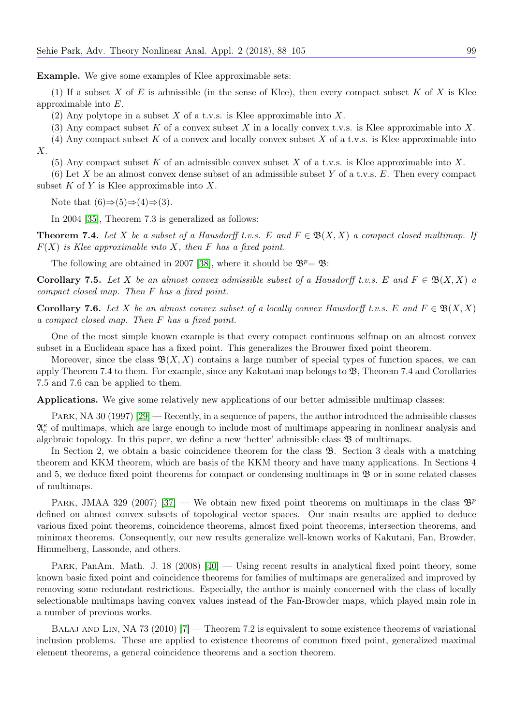Example. We give some examples of Klee approximable sets:

(1) If a subset X of E is admissible (in the sense of Klee), then every compact subset K of X is Klee approximable into E.

(2) Any polytope in a subset X of a t.v.s. is Klee approximable into X.

(3) Any compact subset K of a convex subset X in a locally convex t.v.s. is Klee approximable into X.

(4) Any compact subset K of a convex and locally convex subset X of a t.v.s. is Klee approximable into X.

(5) Any compact subset K of an admissible convex subset X of a t.v.s. is Klee approximable into X.

(6) Let X be an almost convex dense subset of an admissible subset Y of a t.v.s.  $E$ . Then every compact subset  $K$  of  $Y$  is Klee approximable into  $X$ .

Note that  $(6) \Rightarrow (5) \Rightarrow (4) \Rightarrow (3)$ .

In 2004 [\[35\]](#page-16-25), Theorem 7.3 is generalized as follows:

**Theorem 7.4.** Let X be a subset of a Hausdorff t.v.s. E and  $F \in \mathfrak{B}(X,X)$  a compact closed multimap. If  $F(X)$  is Klee approximable into X, then F has a fixed point.

The following are obtained in 2007 [\[38\]](#page-16-26), where it should be  $\mathfrak{B}^p = \mathfrak{B}$ :

**Corollary 7.5.** Let X be an almost convex admissible subset of a Hausdorff t.v.s. E and  $F \in \mathfrak{B}(X,X)$  a compact closed map. Then F has a fixed point.

Corollary 7.6. Let X be an almost convex subset of a locally convex Hausdorff t.v.s. E and  $F \in \mathfrak{B}(X,X)$ a compact closed map. Then F has a fixed point.

One of the most simple known example is that every compact continuous selfmap on an almost convex subset in a Euclidean space has a fixed point. This generalizes the Brouwer fixed point theorem.

Moreover, since the class  $\mathfrak{B}(X, X)$  contains a large number of special types of function spaces, we can apply Theorem 7.4 to them. For example, since any Kakutani map belongs to  $\mathfrak{B}$ , Theorem 7.4 and Corollaries 7.5 and 7.6 can be applied to them.

Applications. We give some relatively new applications of our better admissible multimap classes:

PARK, NA 30 (1997) [\[29\]](#page-16-15) — Recently, in a sequence of papers, the author introduced the admissible classes  $\mathfrak{A}_{c}^{\kappa}$  of multimaps, which are large enough to include most of multimaps appearing in nonlinear analysis and algebraic topology. In this paper, we define a new 'better' admissible class  $\mathfrak{B}$  of multimaps.

In Section 2, we obtain a basic coincidence theorem for the class  $\mathfrak{B}$ . Section 3 deals with a matching theorem and KKM theorem, which are basis of the KKM theory and have many applications. In Sections 4 and 5, we deduce fixed point theorems for compact or condensing multimaps in  $\mathfrak{B}$  or in some related classes of multimaps.

PARK, JMAA 329 (2007) [\[37\]](#page-16-27) — We obtain new fixed point theorems on multimaps in the class  $\mathfrak{B}^p$ defined on almost convex subsets of topological vector spaces. Our main results are applied to deduce various fixed point theorems, coincidence theorems, almost fixed point theorems, intersection theorems, and minimax theorems. Consequently, our new results generalize well-known works of Kakutani, Fan, Browder, Himmelberg, Lassonde, and others.

PARK, PanAm. Math. J. 18 (2008)  $[40]$  — Using recent results in analytical fixed point theory, some known basic fixed point and coincidence theorems for families of multimaps are generalized and improved by removing some redundant restrictions. Especially, the author is mainly concerned with the class of locally selectionable multimaps having convex values instead of the Fan-Browder maps, which played main role in a number of previous works.

Balaj and Lin, NA 73 (2010) [\[7\]](#page-16-28) — Theorem 7.2 is equivalent to some existence theorems of variational inclusion problems. These are applied to existence theorems of common fixed point, generalized maximal element theorems, a general coincidence theorems and a section theorem.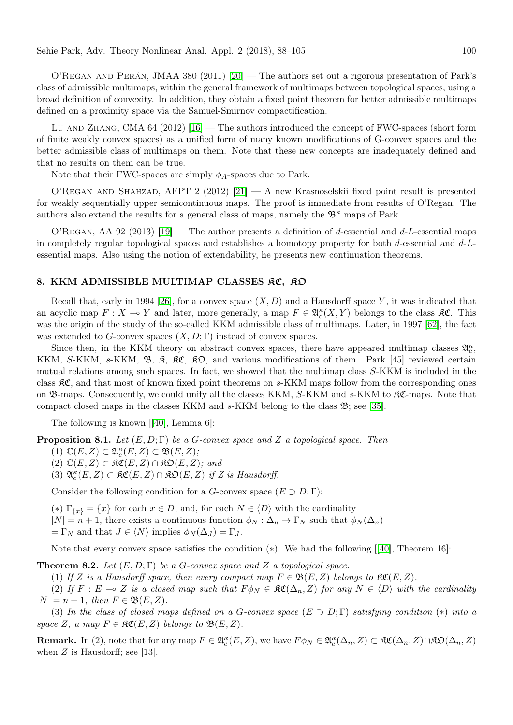O'Regan and Perán, JMAA 380 (2011) [\[20\]](#page-16-29) — The authors set out a rigorous presentation of Park's class of admissible multimaps, within the general framework of multimaps between topological spaces, using a broad definition of convexity. In addition, they obtain a fixed point theorem for better admissible multimaps defined on a proximity space via the Samuel-Smirnov compactification.

Lu AND ZHANG, CMA  $64$  (2012) [\[16\]](#page-16-30) — The authors introduced the concept of FWC-spaces (short form of finite weakly convex spaces) as a unified form of many known modifications of G-convex spaces and the better admissible class of multimaps on them. Note that these new concepts are inadequately defined and that no results on them can be true.

Note that their FWC-spaces are simply  $\phi_A$ -spaces due to Park.

O'Regan and Shahzad, AFPT 2 (2012) [\[21\]](#page-16-31) — A new Krasnoselskii fixed point result is presented for weakly sequentially upper semicontinuous maps. The proof is immediate from results of O'Regan. The authors also extend the results for a general class of maps, namely the  $\mathfrak{B}^{\kappa}$  maps of Park.

O'REGAN, AA 92 (2013) [\[19\]](#page-16-24) — The author presents a definition of d-essential and  $d$ -L-essential maps in completely regular topological spaces and establishes a homotopy property for both d-essential and d-Lessential maps. Also using the notion of extendability, he presents new continuation theorems.

# 8. KKM ADMISSIBLE MULTIMAP CLASSES RC, RO

Recall that, early in 1994 [\[26\]](#page-16-14), for a convex space  $(X, D)$  and a Hausdorff space Y, it was indicated that an acyclic map  $F: X \to Y$  and later, more generally, a map  $F \in \mathfrak{A}_{c}^{\kappa}(X, Y)$  belongs to the class  $\mathfrak{K} \mathfrak{C}$ . This was the origin of the study of the so-called KKM admissible class of multimaps. Later, in 1997 [\[62\]](#page-17-17), the fact was extended to G-convex spaces  $(X, D; \Gamma)$  instead of convex spaces.

Since then, in the KKM theory on abstract convex spaces, there have appeared multimap classes  $\mathfrak{A}_{c}^{\kappa}$ , KKM, S-KKM, s-KKM,  $\mathfrak{B}, \mathfrak{K}, \mathfrak{K} \mathfrak{C}, \mathfrak{K} \mathfrak{D},$  and various modifications of them. Park [45] reviewed certain mutual relations among such spaces. In fact, we showed that the multimap class S-KKM is included in the class KC, and that most of known fixed point theorems on s-KKM maps follow from the corresponding ones on  $\mathfrak{B}$ -maps. Consequently, we could unify all the classes KKM, S-KKM and s-KKM to  $\mathfrak{K}C$ -maps. Note that compact closed maps in the classes KKM and s-KKM belong to the class B; see [\[35\]](#page-16-25).

The following is known [[\[40\]](#page-17-18), Lemma 6]:

**Proposition 8.1.** Let  $(E, D; \Gamma)$  be a G-convex space and Z a topological space. Then

- (1)  $\mathbb{C}(E, Z) \subset \mathfrak{A}_{c}^{\kappa}(E, Z) \subset \mathfrak{B}(E, Z);$
- $(2)$   $\mathbb{C}(E, Z) \subset \mathfrak{RC}(E, Z) \cap \mathfrak{RD}(E, Z);$  and
- (3)  $\mathfrak{A}_{c}^{\kappa}(E, Z) \subset \mathfrak{KC}(E, Z) \cap \mathfrak{KD}(E, Z)$  if Z is Hausdorff.

Consider the following condition for a G-convex space  $(E \supset D; \Gamma)$ :

- (\*)  $\Gamma_{\{x\}} = \{x\}$  for each  $x \in D$ ; and, for each  $N \in \langle D \rangle$  with the cardinality
- $|N| = n + 1$ , there exists a continuous function  $\phi_N : \Delta_n \to \Gamma_N$  such that  $\phi_N(\Delta_n)$
- $=\Gamma_N$  and that  $J \in \langle N \rangle$  implies  $\phi_N(\Delta_J) = \Gamma_J$ .

Note that every convex space satisfies the condition (∗). We had the following [[\[40\]](#page-17-18), Theorem 16]:

**Theorem 8.2.** Let  $(E, D; \Gamma)$  be a G-convex space and Z a topological space.

(1) If Z is a Hausdorff space, then every compact map  $F \in \mathfrak{B}(E, Z)$  belongs to  $\mathfrak{SC}(E, Z)$ .

(2) If F : E  $\multimap$  Z is a closed map such that  $F \phi_N \in \mathfrak{RC}(\Delta_n, Z)$  for any  $N \in \langle D \rangle$  with the cardinality  $|N| = n + 1$ , then  $F \in \mathfrak{B}(E, Z)$ .

(3) In the class of closed maps defined on a G-convex space  $(E \supset D; \Gamma)$  satisfying condition  $(*)$  into a space Z, a map  $F \in \mathfrak{RC}(E, Z)$  belongs to  $\mathfrak{B}(E, Z)$ .

**Remark.** In (2), note that for any map  $F \in \mathfrak{A}_{c}^{\kappa}(E, Z)$ , we have  $F \phi_N \in \mathfrak{A}_{c}^{\kappa}(\Delta_n, Z) \subset \mathfrak{KC}(\Delta_n, Z) \cap \mathfrak{KD}(\Delta_n, Z)$ when  $Z$  is Hausdorff; see [13].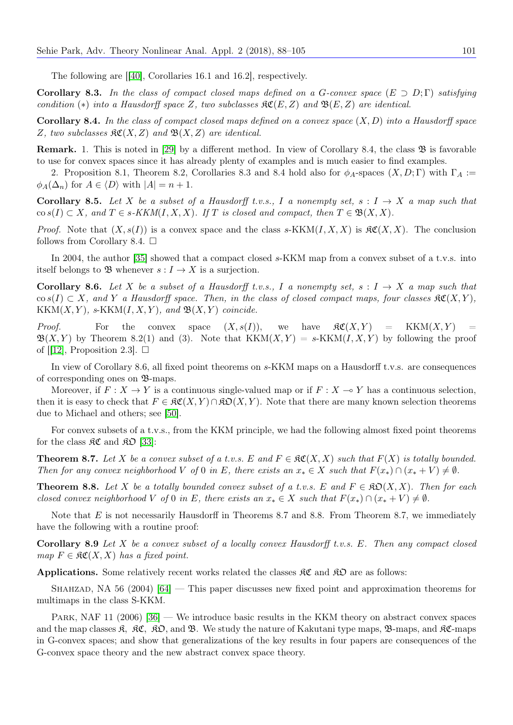The following are [[\[40\]](#page-17-18), Corollaries 16.1 and 16.2], respectively.

**Corollary 8.3.** In the class of compact closed maps defined on a G-convex space  $(E \supset D; \Gamma)$  satisfying condition (\*) into a Hausdorff space Z, two subclasses  $\mathcal{RC}(E, Z)$  and  $\mathcal{B}(E, Z)$  are identical.

**Corollary 8.4.** In the class of compact closed maps defined on a convex space  $(X, D)$  into a Hausdorff space Z, two subclasses  $\mathfrak{RC}(X,Z)$  and  $\mathfrak{B}(X,Z)$  are identical.

Remark. 1. This is noted in [\[29\]](#page-16-15) by a different method. In view of Corollary 8.4, the class  $\mathfrak{B}$  is favorable to use for convex spaces since it has already plenty of examples and is much easier to find examples.

2. Proposition 8.1, Theorem 8.2, Corollaries 8.3 and 8.4 hold also for  $\phi_A$ -spaces  $(X, D; \Gamma)$  with  $\Gamma_A :=$  $\phi_A(\Delta_n)$  for  $A \in \langle D \rangle$  with  $|A| = n + 1$ .

**Corollary 8.5.** Let X be a subset of a Hausdorff t.v.s., I a nonempty set,  $s: I \rightarrow X$  a map such that  $\cos(S(T) \subset X$ , and  $T \in s-KKM(I, X, X)$ . If T is closed and compact, then  $T \in \mathfrak{B}(X, X)$ .

*Proof.* Note that  $(X, s(I))$  is a convex space and the class s-KKM $(I, X, X)$  is  $\Re\mathfrak{C}(X, X)$ . The conclusion follows from Corollary 8.4.  $\Box$ 

In 2004, the author [\[35\]](#page-16-25) showed that a compact closed s-KKM map from a convex subset of a t.v.s. into itself belongs to B whenever  $s: I \to X$  is a surjection.

**Corollary 8.6.** Let X be a subset of a Hausdorff t.v.s., I a nonempty set,  $s: I \rightarrow X$  a map such that  $\cos(I) \subset X$ , and Y a Hausdorff space. Then, in the class of closed compact maps, four classes  $\Re\mathfrak{C}(X,Y)$ ,  $KKM(X, Y)$ , s-KKM $(I, X, Y)$ , and  $\mathfrak{B}(X, Y)$  coincide.

*Proof.* For the convex space  $(X, s(I))$ , we have  $\Re(X, Y) = KKM(X, Y)$  $\mathfrak{B}(X, Y)$  by Theorem 8.2(1) and (3). Note that  $KKM(X, Y) = s-KKM(I, X, Y)$  by following the proof of  $[12]$ , Proposition 2.3.

In view of Corollary 8.6, all fixed point theorems on s-KKM maps on a Hausdorff t.v.s. are consequences of corresponding ones on B-maps.

Moreover, if  $F: X \to Y$  is a continuous single-valued map or if  $F: X \to Y$  has a continuous selection, then it is easy to check that  $F \in \mathfrak{RC}(X, Y) \cap \mathfrak{KO}(X, Y)$ . Note that there are many known selection theorems due to Michael and others; see [\[50\]](#page-17-19).

For convex subsets of a t.v.s., from the KKM principle, we had the following almost fixed point theorems for the class  $\mathfrak{RC}$  and  $\mathfrak{RD}$  [\[33\]](#page-16-10):

**Theorem 8.7.** Let X be a convex subset of a t.v.s. E and  $F \in \mathcal{RC}(X, X)$  such that  $F(X)$  is totally bounded. Then for any convex neighborhood V of 0 in E, there exists an  $x_* \in X$  such that  $F(x_*) \cap (x_* + V) \neq \emptyset$ .

**Theorem 8.8.** Let X be a totally bounded convex subset of a t.v.s. E and  $F \in \mathfrak{KD}(X,X)$ . Then for each closed convex neighborhood V of 0 in E, there exists an  $x_* \in X$  such that  $F(x_*) \cap (x_* + V) \neq \emptyset$ .

Note that  $E$  is not necessarily Hausdorff in Theorems 8.7 and 8.8. From Theorem 8.7, we immediately have the following with a routine proof:

**Corollary 8.9** Let X be a convex subset of a locally convex Hausdorff t.v.s. E. Then any compact closed map  $F \in \mathfrak{RC}(X,X)$  has a fixed point.

**Applications.** Some relatively recent works related the classes  $\mathcal{RC}$  and  $\mathcal{RD}$  are as follows:

SHAHZAD, NA 56 (2004)  $[64]$  — This paper discusses new fixed point and approximation theorems for multimaps in the class S-KKM.

PARK, NAF 11 (2006) [\[36\]](#page-16-33) — We introduce basic results in the KKM theory on abstract convex spaces and the map classes  $\mathfrak{K}, \mathfrak{K} \mathfrak{C}, \mathfrak{K} \mathfrak{D},$  and  $\mathfrak{B}$ . We study the nature of Kakutani type maps,  $\mathfrak{B}$ -maps, and  $\mathfrak{K} \mathfrak{C}$ -maps in G-convex spaces; and show that generalizations of the key results in four papers are consequences of the G-convex space theory and the new abstract convex space theory.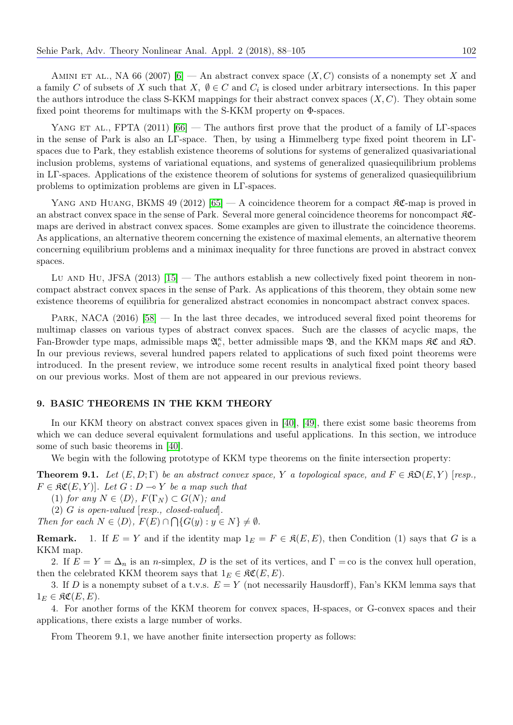AMINI ET AL., NA 66 (2007) [\[6\]](#page-16-34) — An abstract convex space  $(X, C)$  consists of a nonempty set X and a family C of subsets of X such that  $X, \emptyset \in C$  and  $C_i$  is closed under arbitrary intersections. In this paper the authors introduce the class S-KKM mappings for their abstract convex spaces  $(X, C)$ . They obtain some fixed point theorems for multimaps with the S-KKM property on Φ-spaces.

YANG ET AL., FPTA (2011) [\[66\]](#page-17-21) — The authors first prove that the product of a family of LT-spaces in the sense of Park is also an LΓ-space. Then, by using a Himmelberg type fixed point theorem in LΓspaces due to Park, they establish existence theorems of solutions for systems of generalized quasivariational inclusion problems, systems of variational equations, and systems of generalized quasiequilibrium problems in LΓ-spaces. Applications of the existence theorem of solutions for systems of generalized quasiequilibrium problems to optimization problems are given in LΓ-spaces.

YANG AND HUANG, BKMS 49 (2012) [\[65\]](#page-17-22) — A coincidence theorem for a compact  $\Re\mathfrak{C}$ -map is proved in an abstract convex space in the sense of Park. Several more general coincidence theorems for noncompact KCmaps are derived in abstract convex spaces. Some examples are given to illustrate the coincidence theorems. As applications, an alternative theorem concerning the existence of maximal elements, an alternative theorem concerning equilibrium problems and a minimax inequality for three functions are proved in abstract convex spaces.

Lu AND Hu, JFSA (2013)  $[15]$  — The authors establish a new collectively fixed point theorem in noncompact abstract convex spaces in the sense of Park. As applications of this theorem, they obtain some new existence theorems of equilibria for generalized abstract economies in noncompact abstract convex spaces.

PARK, NACA (2016) [\[58\]](#page-17-23) — In the last three decades, we introduced several fixed point theorems for multimap classes on various types of abstract convex spaces. Such are the classes of acyclic maps, the Fan-Browder type maps, admissible maps  $\mathfrak{A}_{c}^{\kappa}$ , better admissible maps  $\mathfrak{B}$ , and the KKM maps  $\mathfrak{K} \mathfrak{C}$  and  $\mathfrak{K} \mathfrak{O}$ . In our previous reviews, several hundred papers related to applications of such fixed point theorems were introduced. In the present review, we introduce some recent results in analytical fixed point theory based on our previous works. Most of them are not appeared in our previous reviews.

# 9. BASIC THEOREMS IN THE KKM THEORY

In our KKM theory on abstract convex spaces given in [\[40\]](#page-17-18), [\[49\]](#page-17-3), there exist some basic theorems from which we can deduce several equivalent formulations and useful applications. In this section, we introduce some of such basic theorems in [\[40\]](#page-17-18).

We begin with the following prototype of KKM type theorems on the finite intersection property:

**Theorem 9.1.** Let  $(E, D; \Gamma)$  be an abstract convex space, Y a topological space, and  $F \in \mathcal{RD}(E, Y)$  [resp.,  $F \in \mathfrak{RC}(E, Y)$ . Let  $G : D \to Y$  be a map such that

(1) for any  $N \in \langle D \rangle$ ,  $F(\Gamma_N) \subset G(N)$ ; and

(2) G is open-valued [resp., closed-valued].

Then for each  $N \in \langle D \rangle$ ,  $F(E) \cap \bigcap \{G(y) : y \in N\} \neq \emptyset$ .

**Remark.** 1. If  $E = Y$  and if the identity map  $1_E = F \in \mathfrak{K}(E, E)$ , then Condition (1) says that G is a KKM map.

2. If  $E = Y = \Delta_n$  is an *n*-simplex, D is the set of its vertices, and  $\Gamma = \infty$  is the convex hull operation, then the celebrated KKM theorem says that  $1_E \in \mathfrak{RC}(E, E)$ .

3. If D is a nonempty subset of a t.v.s.  $E = Y$  (not necessarily Hausdorff), Fan's KKM lemma says that  $1_E \in \mathfrak{RC}(E, E).$ 

4. For another forms of the KKM theorem for convex spaces, H-spaces, or G-convex spaces and their applications, there exists a large number of works.

From Theorem 9.1, we have another finite intersection property as follows: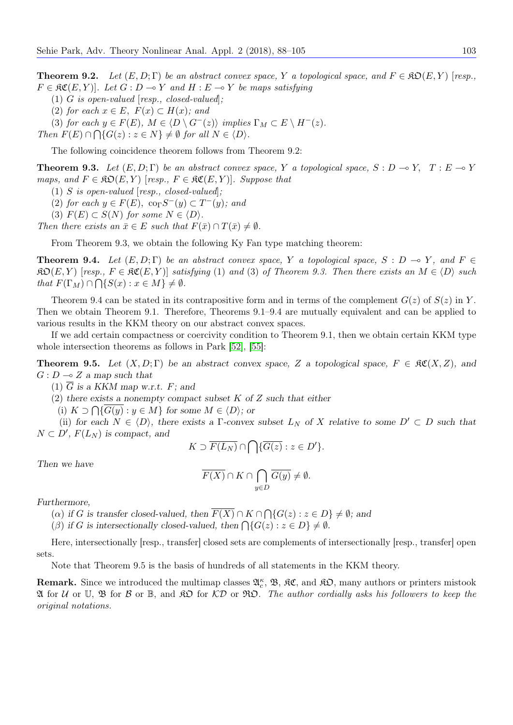**Theorem 9.2.** Let  $(E, D; \Gamma)$  be an abstract convex space, Y a topological space, and  $F \in \mathcal{RO}(E, Y)$  [resp.,  $F \in \mathfrak{RC}(E, Y)$ . Let  $G : D \to Y$  and  $H : E \to Y$  be maps satisfying

- (1) G is open-valued [resp., closed-valued];
- (2) for each  $x \in E$ ,  $F(x) \subset H(x)$ ; and

(3) for each  $y \in F(E)$ ,  $M \in \langle D \setminus G^{-}(z) \rangle$  implies  $\Gamma_M \subset E \setminus H^{-}(z)$ .

Then  $F(E) \cap \bigcap \{G(z) : z \in N\} \neq \emptyset$  for all  $N \in \langle D \rangle$ .

The following coincidence theorem follows from Theorem 9.2:

**Theorem 9.3.** Let  $(E, D; \Gamma)$  be an abstract convex space, Y a topological space,  $S : D \to Y$ ,  $T : E \to Y$ maps, and  $F \in \mathfrak{RO}(E, Y)$  [resp.,  $F \in \mathfrak{RC}(E, Y)$ ]. Suppose that

(1) S is open-valued [resp., closed-valued];

(2) for each  $y \in F(E)$ ,  $\text{co}_{\Gamma}S^{-}(y) \subset T^{-}(y)$ ; and

(3)  $F(E) \subset S(N)$  for some  $N \in \langle D \rangle$ .

Then there exists an  $\bar{x} \in E$  such that  $F(\bar{x}) \cap T(\bar{x}) \neq \emptyset$ .

From Theorem 9.3, we obtain the following Ky Fan type matching theorem:

**Theorem 9.4.** Let  $(E, D; \Gamma)$  be an abstract convex space, Y a topological space, S : D  $\rightarrow$  Y, and F  $\in$  $\mathfrak{RO}(E, Y)$  [resp.,  $F \in \mathfrak{RC}(E, Y)$ ] satisfying (1) and (3) of Theorem 9.3. Then there exists an  $M \in \langle D \rangle$  such that  $F(\Gamma_M) \cap \bigcap \{S(x) : x \in M\} \neq \emptyset$ .

Theorem 9.4 can be stated in its contrapositive form and in terms of the complement  $G(z)$  of  $S(z)$  in Y. Then we obtain Theorem 9.1. Therefore, Theorems 9.1–9.4 are mutually equivalent and can be applied to various results in the KKM theory on our abstract convex spaces.

If we add certain compactness or coercivity condition to Theorem 9.1, then we obtain certain KKM type whole intersection theorems as follows in Park [\[52\]](#page-17-24), [\[55\]](#page-17-25):

**Theorem 9.5.** Let  $(X, D; \Gamma)$  be an abstract convex space, Z a topological space,  $F \in \mathcal{RC}(X, Z)$ , and  $G: D \longrightarrow Z$  a map such that

(1)  $\overline{G}$  is a KKM map w.r.t. F; and

(2) there exists a nonempty compact subset  $K$  of  $Z$  such that either

(i)  $K \supset \bigcap \{G(y) : y \in M\}$  for some  $M \in \langle D \rangle$ ; or

(ii) for each  $N \in \langle D \rangle$ , there exists a Γ-convex subset  $L_N$  of X relative to some  $D' \subset D$  such that  $N \subset D'$ ,  $F(L_N)$  is compact, and

$$
K \supset \overline{F(L_N)} \cap \bigcap \{\overline{G(z)} : z \in D' \}.
$$

Then we have

$$
\overline{F(X)} \cap K \cap \bigcap_{y \in D} \overline{G(y)} \neq \emptyset.
$$

Furthermore,

(a) if G is transfer closed-valued, then  $F(X) \cap K \cap \bigcap \{G(z) : z \in D\} \neq \emptyset$ ; and

( $\beta$ ) if G is intersectionally closed-valued, then  $\bigcap \{G(z) : z \in D\} \neq \emptyset$ .

Here, intersectionally [resp., transfer] closed sets are complements of intersectionally [resp., transfer] open sets.

Note that Theorem 9.5 is the basis of hundreds of all statements in the KKM theory.

**Remark.** Since we introduced the multimap classes  $\mathfrak{A}_{c}^{\kappa}$ ,  $\mathfrak{B}$ ,  $\mathfrak{RC}$ , and  $\mathfrak{RD}$ , many authors or printers mistook  $\mathfrak A$  for  $\mathcal U$  or  $\mathcal V$ ,  $\mathfrak B$  for  $\mathcal B$  or  $\mathfrak K$ ,  $\mathcal V$  or  $\mathfrak K$ ,  $\mathcal V$ ,  $\mathcal V$ ,  $\mathcal V$ ,  $\mathcal V$ ,  $\mathcal V$ ,  $\mathcal V$ ,  $\mathcal V$ ,  $\mathcal V$ ,  $\mathcal V$ ,  $\mathcal V$ ,  $\mathcal V$ ,  $\mathcal V$ ,  $\mathcal V$ ,  $\mathcal V$ ,  $\mathcal V$ ,  $\mathcal V$ ,  $\mathcal V$ ,  $\mathcal V$ original notations.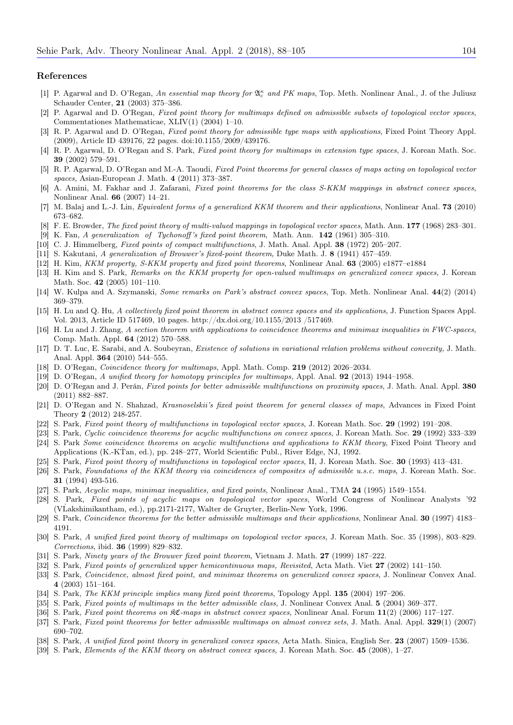#### References

- <span id="page-16-18"></span>[1] P. Agarwal and D. O'Regan, An essential map theory for  $\mathfrak{A}_c^{\kappa}$  and PK maps, Top. Meth. Nonlinear Anal., J. of the Juliusz Schauder Center, 21 (2003) 375–386.
- <span id="page-16-19"></span>[2] P. Agarwal and D. O'Regan, Fixed point theory for multimaps defined on admissible subsets of topological vector spaces, Commentationes Mathematicae, XLIV(1) (2004) 1–10.
- <span id="page-16-21"></span>[3] R. P. Agarwal and D. O'Regan, Fixed point theory for admissible type maps with applications, Fixed Point Theory Appl. (2009), Article ID 439176, 22 pages. doi:10.1155/2009/439176.
- <span id="page-16-20"></span>[4] R. P. Agarwal, D. O'Regan and S. Park, Fixed point theory for multimaps in extension type spaces, J. Korean Math. Soc. 39 (2002) 579–591.
- <span id="page-16-22"></span>[5] R. P. Agarwal, D. O'Regan and M.-A. Taoudi, Fixed Point theorems for general classes of maps acting on topological vector spaces, Asian-European J. Math. 4 (2011) 373–387.
- <span id="page-16-34"></span>[6] A. Amini, M. Fakhar and J. Zafarani, Fixed point theorems for the class S-KKM mappings in abstract convex spaces, Nonlinear Anal. 66 (2007) 14–21.
- <span id="page-16-28"></span>[7] M. Balaj and L.-J. Lin, Equivalent forms of a generalized KKM theorem and their applications, Nonlinear Anal. 73 (2010) 673–682.
- <span id="page-16-8"></span>[8] F. E. Browder, The fixed point theory of multi-valued mappings in topological vector spaces, Math. Ann. 177 (1968) 283–301.
- <span id="page-16-13"></span>[9] K. Fan, A generalization of Tychonoff 's fixed point theorem, Math. Ann. 142 (1961) 305–310.
- <span id="page-16-3"></span>[10] C. J. Himmelberg, Fixed points of compact multifunctions, J. Math. Anal. Appl. 38 (1972) 205–207.
- <span id="page-16-7"></span>[11] S. Kakutani, A generalization of Brouwer's fixed-point theorem, Duke Math. J. 8 (1941) 457–459.
- <span id="page-16-32"></span>[12] H. Kim, KKM property, S-KKM property and fixed point theorems, Nonlinear Anal. 63 (2005) e1877–e1884
- <span id="page-16-1"></span>[13] H. Kim and S. Park, Remarks on the KKM property for open-valued multimaps on generalized convex spaces, J. Korean Math. Soc. 42 (2005) 101–110.
- [14] W. Kulpa and A. Szymanski, Some remarks on Park's abstract convex spaces, Top. Meth. Nonlinear Anal. 44(2) (2014) 369–379.
- <span id="page-16-35"></span>[15] H. Lu and Q. Hu, A collectively fixed point theorem in abstract convex spaces and its applications, J. Function Spaces Appl. Vol. 2013, Article ID 517469, 10 pages. http://dx.doi.org/10.1155/2013 /517469.
- <span id="page-16-30"></span>[16] H. Lu and J. Zhang, A section theorem with applications to coincidence theorems and minimax inequalities in FWC-spaces, Comp. Math. Appl. 64 (2012) 570–588.
- [17] D. T. Luc, E. Sarabi, and A. Soubeyran, Existence of solutions in variational relation problems without convexity, J. Math. Anal. Appl. 364 (2010) 544–555.
- <span id="page-16-23"></span>[18] D. O'Regan, Coincidence theory for multimaps, Appl. Math. Comp. 219 (2012) 2026–2034.
- <span id="page-16-24"></span>[19] D. O'Regan, A unified theory for homotopy principles for multimaps, Appl. Anal. 92 (2013) 1944–1958.
- <span id="page-16-29"></span>[20] D. O'Regan and J. Perán, Fixed points for better admissible multifunctions on proximity spaces, J. Math. Anal. Appl. 380 (2011) 882–887.
- <span id="page-16-31"></span>[21] D. O'Regan and N. Shahzad, Krasnoselskii's fixed point theorem for general classes of maps, Advances in Fixed Point Theory 2 (2012) 248-257.
- <span id="page-16-4"></span>[22] S. Park, Fixed point theory of multifunctions in topological vector spaces, J. Korean Math. Soc. 29 (1992) 191–208.
- <span id="page-16-0"></span>[23] S. Park, Cyclic coincidence theorems for acyclic multifunctions on convex spaces, J. Korean Math. Soc. 29 (1992) 333–339 [24] S. Park Some coincidence theorems on acyclic multifunctions and applications to KKM theory, Fixed Point Theory and Applications (K.-KTan, ed.), pp. 248–277, World Scientific Publ., River Edge, NJ, 1992.
- <span id="page-16-5"></span>[25] S. Park, Fixed point theory of multifunctions in topological vector spaces, II, J. Korean Math. Soc. 30 (1993) 413–431.
- <span id="page-16-14"></span>[26] S. Park, Foundations of the KKM theory via coincidences of composites of admissible u.s.c. maps, J. Korean Math. Soc. 31 (1994) 493-516.
- <span id="page-16-11"></span>[27] S. Park, Acyclic maps, minimax inequalities, and fixed points, Nonlinear Anal., TMA 24 (1995) 1549–1554.
- <span id="page-16-12"></span>[28] S. Park, Fixed points of acyclic maps on topological vector spaces, World Congress of Nonlinear Analysts '92 (VLakshimikantham, ed.), pp.2171-2177, Walter de Gruyter, Berlin-New York, 1996. ˙
- <span id="page-16-15"></span>[29] S. Park, Coincidence theorems for the better admissible multimaps and their applications, Nonlinear Anal. 30 (1997) 4183– 4191.
- <span id="page-16-16"></span>[30] S. Park, A unified fixed point theory of multimaps on topological vector spaces, J. Korean Math. Soc. 35 (1998), 803–829. Corrections, ibid. 36 (1999) 829–832.
- <span id="page-16-2"></span>[31] S. Park, Ninety years of the Brouwer fixed point theorem, Vietnam J. Math. 27 (1999) 187–222.
- <span id="page-16-6"></span>[32] S. Park, Fixed points of generalized upper hemicontinuous maps, Revisited, Acta Math. Viet 27 (2002) 141–150.
- <span id="page-16-10"></span>[33] S. Park, Coincidence, almost fixed point, and minimax theorems on generalized convex spaces, J. Nonlinear Convex Anal. 4 (2003) 151–164.
- <span id="page-16-9"></span>[34] S. Park, The KKM principle implies many fixed point theorems, Topology Appl. 135 (2004) 197–206.
- <span id="page-16-25"></span>[35] S. Park, Fixed points of multimaps in the better admissible class, J. Nonlinear Convex Anal. 5 (2004) 369–377.
- <span id="page-16-33"></span>[36] S. Park, Fixed point theorems on KC-maps in abstract convex spaces, Nonlinear Anal. Forum 11(2) (2006) 117–127.
- <span id="page-16-27"></span>[37] S. Park, Fixed point theorems for better admissible multimaps on almost convex sets, J. Math. Anal. Appl. 329(1) (2007) 690–702.
- <span id="page-16-26"></span>[38] S. Park, A unified fixed point theory in generalized convex spaces, Acta Math. Sinica, English Ser. 23 (2007) 1509–1536.
- <span id="page-16-17"></span>[39] S. Park, Elements of the KKM theory on abstract convex spaces, J. Korean Math. Soc. 45 (2008), 1–27.